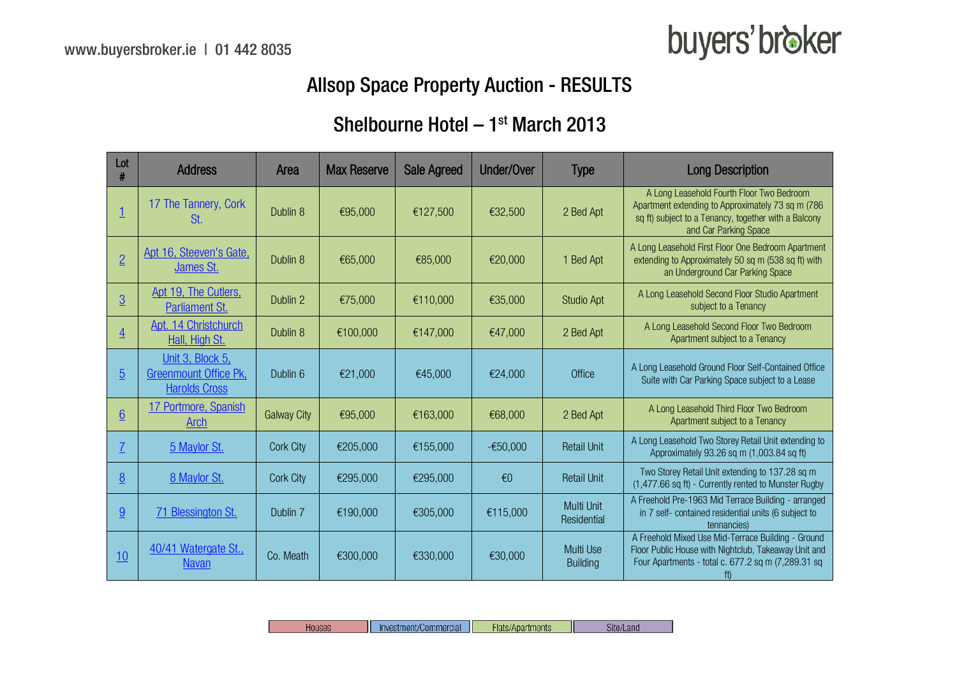### buyers' broker

### Allsop Space Property Auction - RESULTS

### Shelbourne Hotel  $-1<sup>st</sup>$  March 2013

| Lot<br>#       | <b>Address</b>                                                           | Area               | <b>Max Reserve</b> | <b>Sale Agreed</b> | Under/Over              | Type                                | <b>Long Description</b>                                                                                                                                                          |
|----------------|--------------------------------------------------------------------------|--------------------|--------------------|--------------------|-------------------------|-------------------------------------|----------------------------------------------------------------------------------------------------------------------------------------------------------------------------------|
|                | 17 The Tannery, Cork<br>St.                                              | Dublin 8           | €95,000            | €127,500           | €32,500                 | 2 Bed Apt                           | A Long Leasehold Fourth Floor Two Bedroom<br>Apartment extending to Approximately 73 sq m (786)<br>sq ft) subject to a Tenancy, together with a Balcony<br>and Car Parking Space |
| $\overline{2}$ | Apt 16, Steeven's Gate,<br>James St.                                     | Dublin 8           | €65,000            | €85,000            | €20,000                 | 1 Bed Apt                           | A Long Leasehold First Floor One Bedroom Apartment<br>extending to Approximately 50 sq m (538 sq ft) with<br>an Underground Car Parking Space                                    |
| $\overline{3}$ | Apt 19, The Cutlers,<br>Parliament St.                                   | Dublin 2           | €75,000            | €110,000           | €35,000                 | <b>Studio Apt</b>                   | A Long Leasehold Second Floor Studio Apartment<br>subject to a Tenancy                                                                                                           |
| $\overline{4}$ | Apt. 14 Christchurch<br>Hall, High St.                                   | Dublin 8           | €100,000           | €147,000           | €47,000                 | 2 Bed Apt                           | A Long Leasehold Second Floor Two Bedroom<br>Apartment subject to a Tenancy                                                                                                      |
| $\overline{5}$ | Unit 3, Block 5,<br><b>Greenmount Office Pk.</b><br><b>Harolds Cross</b> | Dublin 6           | €21,000            | €45,000            | €24,000                 | Office                              | A Long Leasehold Ground Floor Self-Contained Office<br>Suite with Car Parking Space subject to a Lease                                                                           |
| 6              | 17 Portmore, Spanish<br>Arch                                             | <b>Galway City</b> | €95,000            | €163,000           | €68,000                 | 2 Bed Apt                           | A Long Leasehold Third Floor Two Bedroom<br>Apartment subject to a Tenancy                                                                                                       |
| $\overline{1}$ | 5 Maylor St.                                                             | <b>Cork City</b>   | €205,000           | €155,000           | $-650,000$              | <b>Retail Unit</b>                  | A Long Leasehold Two Storey Retail Unit extending to<br>Approximately 93.26 sq m (1,003.84 sq ft)                                                                                |
| 8              | 8 Maylor St.                                                             | <b>Cork City</b>   | €295,000           | €295,000           | $\epsilon$ <sup>0</sup> | <b>Retail Unit</b>                  | Two Storey Retail Unit extending to 137.28 sq m<br>(1,477.66 sq ft) - Currently rented to Munster Rugby                                                                          |
| 9              | <b>71 Blessington St.</b>                                                | Dublin 7           | €190,000           | €305,000           | €115,000                | Multi Unit<br>Residential           | A Freehold Pre-1963 Mid Terrace Building - arranged<br>in 7 self- contained residential units (6 subject to<br>tennancies)                                                       |
| 10             | 40/41 Watergate St.,<br><b>Navan</b>                                     | Co. Meath          | €300,000           | €330,000           | €30,000                 | <b>Multi Use</b><br><b>Building</b> | A Freehold Mixed Use Mid-Terrace Building - Ground<br>Floor Public House with Nightclub, Takeaway Unit and<br>Four Apartments - total c. 677.2 sq m (7,289.31 sq<br>ft)          |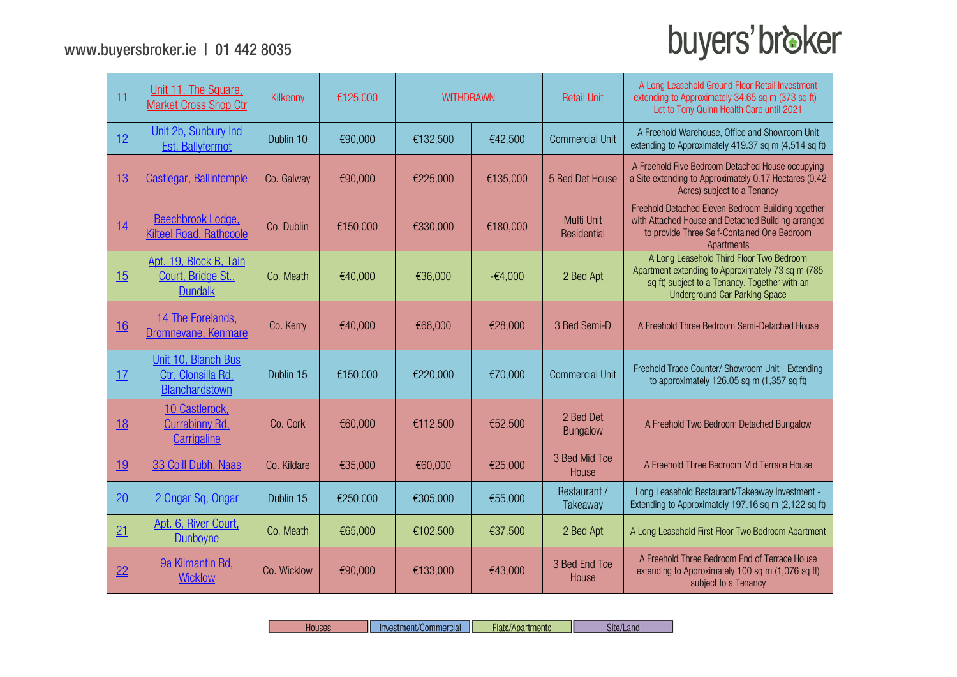| 11        | Unit 11, The Square.<br><b>Market Cross Shop Ctr</b>           | Kilkenny    | €125,000 | <b>WITHDRAWN</b> |           | <b>Retail Unit</b>           | A Long Leasehold Ground Floor Retail Investment<br>extending to Approximately 34.65 sq m (373 sq ft) -<br>Let to Tony Quinn Health Care until 2021                                      |
|-----------|----------------------------------------------------------------|-------------|----------|------------------|-----------|------------------------------|-----------------------------------------------------------------------------------------------------------------------------------------------------------------------------------------|
| 12        | Unit 2b, Sunbury Ind<br>Est, Ballyfermot                       | Dublin 10   | €90,000  | €132,500         | €42,500   | <b>Commercial Unit</b>       | A Freehold Warehouse, Office and Showroom Unit<br>extending to Approximately 419.37 sq m (4,514 sq ft)                                                                                  |
| 13        | <b>Castlegar, Ballintemple</b>                                 | Co. Galway  | €90,000  | €225,000         | €135,000  | 5 Bed Det House              | A Freehold Five Bedroom Detached House occupying<br>a Site extending to Approximately 0.17 Hectares (0.42<br>Acres) subject to a Tenancy                                                |
| 14        | Beechbrook Lodge,<br><b>Kilteel Road, Rathcoole</b>            | Co. Dublin  | €150,000 | €330,000         | €180,000  | Multi Unit<br>Residential    | Freehold Detached Eleven Bedroom Building together<br>with Attached House and Detached Building arranged<br>to provide Three Self-Contained One Bedroom<br>Apartments                   |
| 15        | Apt. 19, Block B, Tain<br>Court, Bridge St.,<br><b>Dundalk</b> | Co. Meath   | €40,000  | €36,000          | $-64,000$ | 2 Bed Apt                    | A Long Leasehold Third Floor Two Bedroom<br>Apartment extending to Approximately 73 sq m (785)<br>sq ft) subject to a Tenancy. Together with an<br><b>Underground Car Parking Space</b> |
| <u>16</u> | 14 The Forelands.<br>Dromnevane, Kenmare                       | Co. Kerry   | €40,000  | €68,000          | €28,000   | 3 Bed Semi-D                 | A Freehold Three Bedroom Semi-Detached House                                                                                                                                            |
| 17        | Unit 10, Blanch Bus<br>Ctr. Clonsilla Rd.<br>Blanchardstown    | Dublin 15   | €150,000 | €220,000         | €70,000   | <b>Commercial Unit</b>       | Freehold Trade Counter/ Showroom Unit - Extending<br>to approximately 126.05 sq m (1,357 sq ft)                                                                                         |
| <u>18</u> | 10 Castlerock,<br><b>Currabinny Rd,</b><br>Carrigaline         | Co. Cork    | €60,000  | €112,500         | €52,500   | 2 Bed Det<br><b>Bungalow</b> | A Freehold Two Bedroom Detached Bungalow                                                                                                                                                |
| <u>19</u> | 33 Coill Dubh, Naas                                            | Co. Kildare | €35,000  | €60,000          | €25,000   | 3 Bed Mid Tce<br>House       | A Freehold Three Bedroom Mid Terrace House                                                                                                                                              |
| 20        | 2 Ongar Sq. Ongar                                              | Dublin 15   | €250,000 | €305,000         | €55,000   | Restaurant /<br>Takeaway     | Long Leasehold Restaurant/Takeaway Investment -<br>Extending to Approximately 197.16 sq m (2,122 sq ft)                                                                                 |
| 21        | Apt. 6, River Court,<br><b>Dunboyne</b>                        | Co. Meath   | €65,000  | €102,500         | €37,500   | 2 Bed Apt                    | A Long Leasehold First Floor Two Bedroom Apartment                                                                                                                                      |
| 22        | 9a Kilmantin Rd.<br><b>Wicklow</b>                             | Co. Wicklow | €90,000  | €133,000         | €43,000   | 3 Bed End Tce<br>House       | A Freehold Three Bedroom End of Terrace House<br>extending to Approximately 100 sq m (1,076 sq ft)<br>subject to a Tenancy                                                              |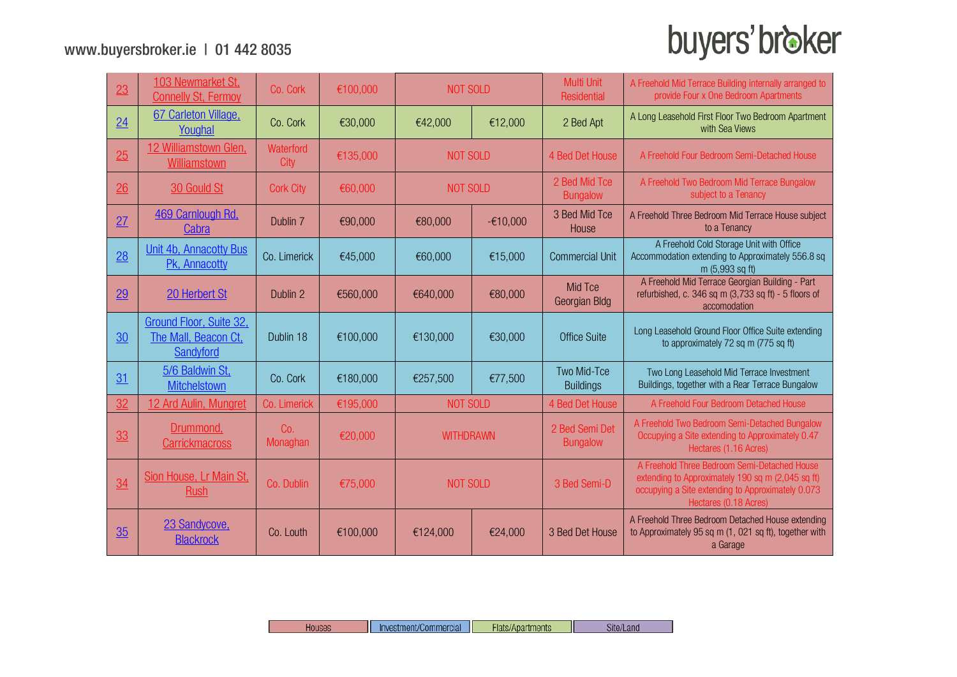| 23 | 103 Newmarket St.<br><b>Connelly St, Fermoy</b>                     | Co. Cork          | €100,000 | <b>NOT SOLD</b> |                  | <b>Multi Unit</b><br>Residential | A Freehold Mid Terrace Building internally arranged to<br>provide Four x One Bedroom Apartments                                                                                 |
|----|---------------------------------------------------------------------|-------------------|----------|-----------------|------------------|----------------------------------|---------------------------------------------------------------------------------------------------------------------------------------------------------------------------------|
| 24 | 67 Carleton Village.<br>Youghal                                     | Co. Cork          | €30,000  | €42,000         | €12,000          | 2 Bed Apt                        | A Long Leasehold First Floor Two Bedroom Apartment<br>with Sea Views                                                                                                            |
| 25 | 12 Williamstown Glen,<br><b>Williamstown</b>                        | Waterford<br>City | €135,000 | <b>NOT SOLD</b> |                  | 4 Bed Det House                  | A Freehold Four Bedroom Semi-Detached House                                                                                                                                     |
| 26 | 30 Gould St                                                         | <b>Cork City</b>  | €60,000  | <b>NOT SOLD</b> |                  | 2 Bed Mid Tce<br><b>Bungalow</b> | A Freehold Two Bedroom Mid Terrace Bungalow<br>subject to a Tenancy                                                                                                             |
| 27 | 469 Carnlough Rd,<br>Cabra                                          | Dublin 7          | €90,000  | €80,000         | $-£10,000$       | 3 Bed Mid Tce<br>House           | A Freehold Three Bedroom Mid Terrace House subject<br>to a Tenancy                                                                                                              |
| 28 | Unit 4b, Annacotty Bus<br>Pk, Annacotty                             | Co. Limerick      | €45,000  | €60,000         | €15,000          | <b>Commercial Unit</b>           | A Freehold Cold Storage Unit with Office<br>Accommodation extending to Approximately 556.8 sq<br>m (5,993 sq ft)                                                                |
| 29 | 20 Herbert St                                                       | Dublin 2          | €560,000 | €640,000        | €80,000          | Mid Tce<br>Georgian Bldg         | A Freehold Mid Terrace Georgian Building - Part<br>refurbished, c. 346 sq m (3,733 sq ft) - 5 floors of<br>accomodation                                                         |
| 30 | <b>Ground Floor, Suite 32,</b><br>The Mall, Beacon Ct,<br>Sandyford | Dublin 18         | €100,000 | €130,000        | €30,000          |                                  | Long Leasehold Ground Floor Office Suite extending<br>to approximately 72 sq m (775 sq ft)                                                                                      |
| 31 | 5/6 Baldwin St,<br><b>Mitchelstown</b>                              | Co. Cork          | €180,000 | €257,500        | €77,500          | Two Mid-Tce<br><b>Buildings</b>  | Two Long Leasehold Mid Terrace Investment<br>Buildings, together with a Rear Terrace Bungalow                                                                                   |
| 32 | 12 Ard Aulin, Mungret                                               | Co. Limerick      | €195,000 | <b>NOT SOLD</b> |                  | 4 Bed Det House                  | A Freehold Four Bedroom Detached House                                                                                                                                          |
| 33 | Drummond,<br><b>Carrickmacross</b>                                  | Co.<br>Monaghan   | €20,000  |                 | <b>WITHDRAWN</b> |                                  | A Freehold Two Bedroom Semi-Detached Bungalow<br>Occupying a Site extending to Approximately 0.47<br>Hectares (1.16 Acres)                                                      |
| 34 | Sion House, Lr Main St,<br>Rush                                     | Co. Dublin        | €75,000  | <b>NOT SOLD</b> |                  | 3 Bed Semi-D                     | A Freehold Three Bedroom Semi-Detached House<br>extending to Approximately 190 sq m (2,045 sq ft)<br>occupying a Site extending to Approximately 0.073<br>Hectares (0.18 Acres) |
| 35 | 23 Sandycove,<br><b>Blackrock</b>                                   | Co. Louth         | €100,000 | €124,000        | €24,000          | 3 Bed Det House                  | A Freehold Three Bedroom Detached House extending<br>to Approximately 95 sq m (1, 021 sq ft), together with<br>a Garage                                                         |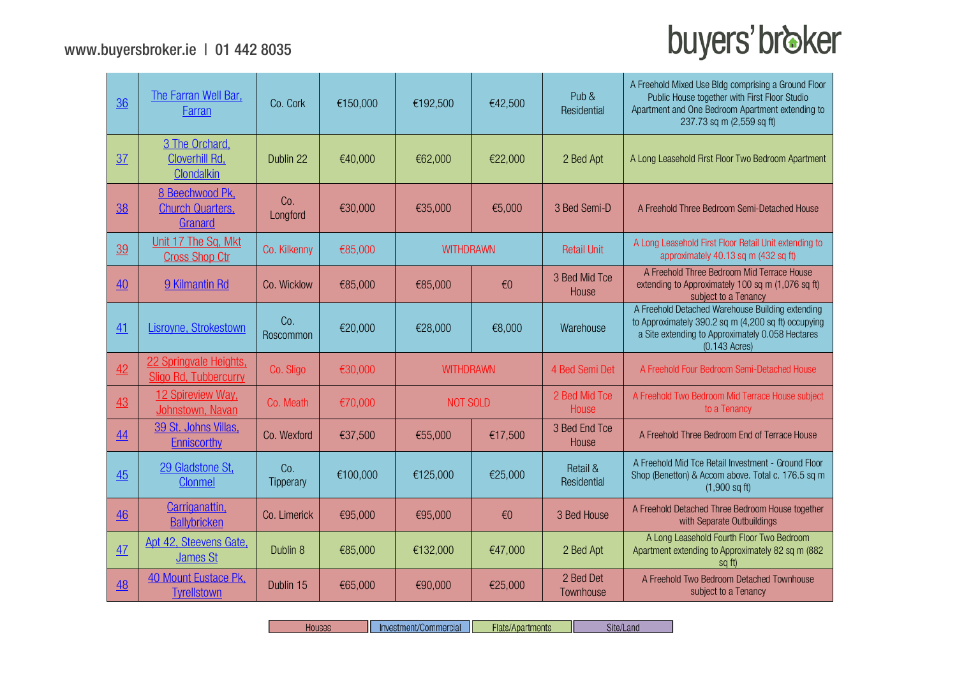$\sim$ 

# buyers' broker

| 36        | The Farran Well Bar,<br>Farran                        | Co. Cork         | €150,000 | €192,500         | €42,500                 | Pub &<br>Residential    | A Freehold Mixed Use Bldg comprising a Ground Floor<br>Public House together with First Floor Studio<br>Apartment and One Bedroom Apartment extending to<br>237.73 sq m (2,559 sq ft) |
|-----------|-------------------------------------------------------|------------------|----------|------------------|-------------------------|-------------------------|---------------------------------------------------------------------------------------------------------------------------------------------------------------------------------------|
| 37        | 3 The Orchard.<br><b>Cloverhill Rd.</b><br>Clondalkin | Dublin 22        | €40,000  | €62,000          | €22,000                 | 2 Bed Apt               | A Long Leasehold First Floor Two Bedroom Apartment                                                                                                                                    |
| 38        | 8 Beechwood Pk.<br><b>Church Quarters,</b><br>Granard | Co.<br>Longford  | €30,000  | €35,000          | €5,000                  | 3 Bed Semi-D            | A Freehold Three Bedroom Semi-Detached House                                                                                                                                          |
| 39        | Unit 17 The Sq. Mkt<br><b>Cross Shop Ctr</b>          | Co. Kilkenny     | €85,000  |                  | <b>WITHDRAWN</b>        |                         | A Long Leasehold First Floor Retail Unit extending to<br>approximately 40.13 sq m (432 sq ft)                                                                                         |
| 40        | 9 Kilmantin Rd                                        | Co. Wicklow      | €85,000  | €85,000          | $\epsilon$ <sup>0</sup> | 3 Bed Mid Tce<br>House  | A Freehold Three Bedroom Mid Terrace House<br>extending to Approximately 100 sq m (1,076 sq ft)<br>subject to a Tenancy                                                               |
| 41        | Lisroyne, Strokestown                                 | Co.<br>Roscommon | €20,000  | €28,000          | €8,000                  | Warehouse               | A Freehold Detached Warehouse Building extending<br>to Approximately 390.2 sq m (4,200 sq ft) occupying<br>a Site extending to Approximately 0.058 Hectares<br>$(0.143$ Acres)        |
| 42        | 22 Springvale Heights,<br>Sligo Rd, Tubbercurry       | Co. Sligo        | €30,000  | <b>WITHDRAWN</b> |                         | 4 Bed Semi Det          | A Freehold Four Bedroom Semi-Detached House                                                                                                                                           |
| 43        | 12 Spireview Way.<br>Johnstown, Navan                 | Co. Meath        | €70,000  | <b>NOT SOLD</b>  |                         | 2 Bed Mid Tce<br>House  | A Freehold Two Bedroom Mid Terrace House subject<br>to a Tenancy                                                                                                                      |
| 44        | 39 St. Johns Villas.<br>Enniscorthy                   | Co. Wexford      | €37,500  | €55,000          | €17,500                 | 3 Bed End Tce<br>House  | A Freehold Three Bedroom End of Terrace House                                                                                                                                         |
| 45        | 29 Gladstone St.<br><b>Clonmel</b>                    | Co.<br>Tipperary | €100,000 | €125,000         | €25,000                 | Retail &<br>Residential | A Freehold Mid Tce Retail Investment - Ground Floor<br>Shop (Benetton) & Accom above. Total c. 176.5 sq m<br>$(1,900 \text{ sq ft})$                                                  |
| 46        | Carriganattin,<br><b>Ballybricken</b>                 | Co. Limerick     | €95,000  | €95,000          | $\epsilon$ <sup>0</sup> | 3 Bed House             | A Freehold Detached Three Bedroom House together<br>with Separate Outbuildings                                                                                                        |
| 47        | Apt 42, Steevens Gate,<br>James St                    | Dublin 8         | €85,000  | €132,000         | €47,000                 | 2 Bed Apt               | A Long Leasehold Fourth Floor Two Bedroom<br>Apartment extending to Approximately 82 sq m (882)<br>sa ft                                                                              |
| <u>48</u> | 40 Mount Eustace Pk.<br><b>Tyrellstown</b>            | Dublin 15        | €65,000  | €90,000          | €25,000                 | 2 Bed Det<br>Townhouse  | A Freehold Two Bedroom Detached Townhouse<br>subject to a Tenancy                                                                                                                     |

Houses Investment/Commercial Flats/Apartments Site/Land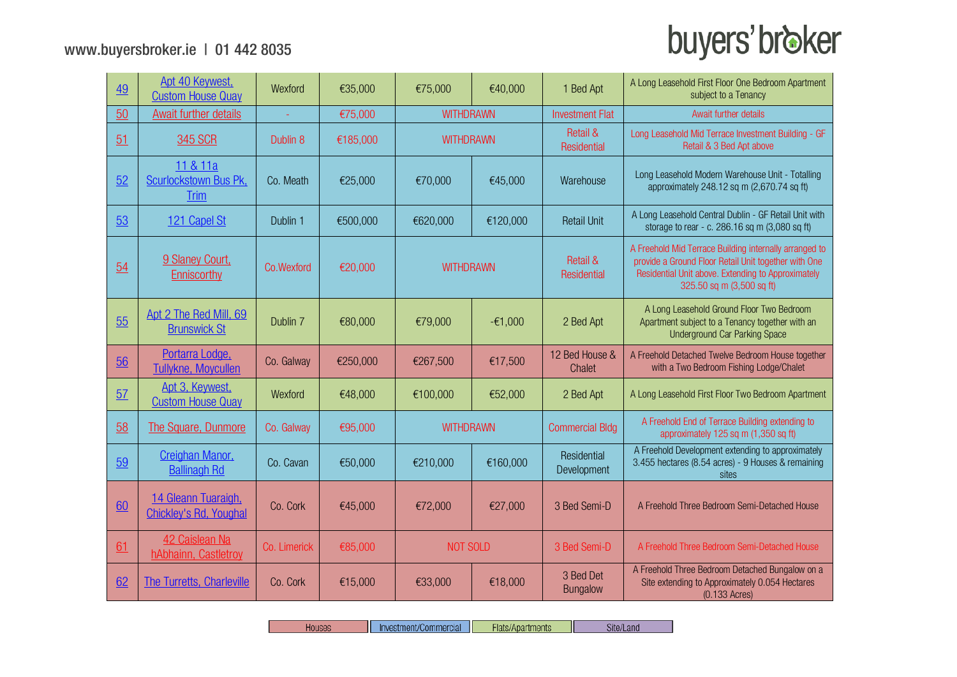| 49 | Apt 40 Keywest,<br><b>Custom House Quay</b>          | Wexford      | €35,000  | €75,000          | €40,000   | 1 Bed Apt                          | A Long Leasehold First Floor One Bedroom Apartment<br>subject to a Tenancy                                                                                                                        |
|----|------------------------------------------------------|--------------|----------|------------------|-----------|------------------------------------|---------------------------------------------------------------------------------------------------------------------------------------------------------------------------------------------------|
| 50 | <b>Await further details</b>                         |              | €75,000  | <b>WITHDRAWN</b> |           | <b>Investment Flat</b>             | Await further details                                                                                                                                                                             |
| 51 | 345 SCR                                              | Dublin 8     | €185,000 | <b>WITHDRAWN</b> |           | <b>Retail &amp;</b><br>Residential | Long Leasehold Mid Terrace Investment Building - GF<br>Retail & 3 Bed Apt above                                                                                                                   |
| 52 | 11 & 11a<br>Scurlockstown Bus Pk,<br><b>Trim</b>     | Co. Meath    | €25,000  | €70,000          | €45,000   | Warehouse                          | Long Leasehold Modern Warehouse Unit - Totalling<br>approximately 248.12 sq m (2,670.74 sq ft)                                                                                                    |
| 53 | 121 Capel St                                         | Dublin 1     | €500,000 | €620,000         | €120,000  | <b>Retail Unit</b>                 | A Long Leasehold Central Dublin - GF Retail Unit with<br>storage to rear - c. 286.16 sq m (3,080 sq ft)                                                                                           |
| 54 | 9 Slaney Court,<br>Enniscorthy                       | Co.Wexford   | €20,000  | <b>WITHDRAWN</b> |           | <b>Retail &amp;</b><br>Residential | A Freehold Mid Terrace Building internally arranged to<br>provide a Ground Floor Retail Unit together with One<br>Residential Unit above. Extending to Approximately<br>325.50 sq m (3,500 sq ft) |
| 55 | Apt 2 The Red Mill, 69<br><b>Brunswick St</b>        | Dublin 7     | €80,000  | €79,000          | $-£1,000$ | 2 Bed Apt                          | A Long Leasehold Ground Floor Two Bedroom<br>Apartment subject to a Tenancy together with an<br><b>Underground Car Parking Space</b>                                                              |
| 56 | Portarra Lodge.<br><b>Tullykne, Moycullen</b>        | Co. Galway   | €250,000 | €267,500         | €17,500   | 12 Bed House &<br>Chalet           | A Freehold Detached Twelve Bedroom House together<br>with a Two Bedroom Fishing Lodge/Chalet                                                                                                      |
| 57 | Apt 3, Keywest,<br><b>Custom House Quay</b>          | Wexford      | €48,000  | €100,000         | €52,000   | 2 Bed Apt                          | A Long Leasehold First Floor Two Bedroom Apartment                                                                                                                                                |
| 58 | The Square, Dunmore                                  | Co. Galway   | €95,000  | <b>WITHDRAWN</b> |           | <b>Commercial Bldg</b>             | A Freehold End of Terrace Building extending to<br>approximately 125 sq m (1,350 sq ft)                                                                                                           |
| 59 | Creighan Manor,<br><b>Ballinagh Rd</b>               | Co. Cavan    | €50,000  | €210,000         | €160,000  | Residential<br>Development         | A Freehold Development extending to approximately<br>3.455 hectares (8.54 acres) - 9 Houses & remaining<br>sites                                                                                  |
| 60 | 14 Gleann Tuaraigh,<br><b>Chickley's Rd, Youghal</b> | Co. Cork     | €45,000  | €72,000          | €27,000   | 3 Bed Semi-D                       | A Freehold Three Bedroom Semi-Detached House                                                                                                                                                      |
| 61 | 42 Caislean Na<br>hAbhainn, Castletroy               | Co. Limerick | €85,000  | <b>NOT SOLD</b>  |           | 3 Bed Semi-D                       | A Freehold Three Bedroom Semi-Detached House                                                                                                                                                      |
| 62 | The Turretts, Charleville                            | Co. Cork     | €15,000  | €33,000          | €18,000   | 3 Bed Det<br><b>Bungalow</b>       | A Freehold Three Bedroom Detached Bungalow on a<br>Site extending to Approximately 0.054 Hectares<br>$(0.133$ Acres)                                                                              |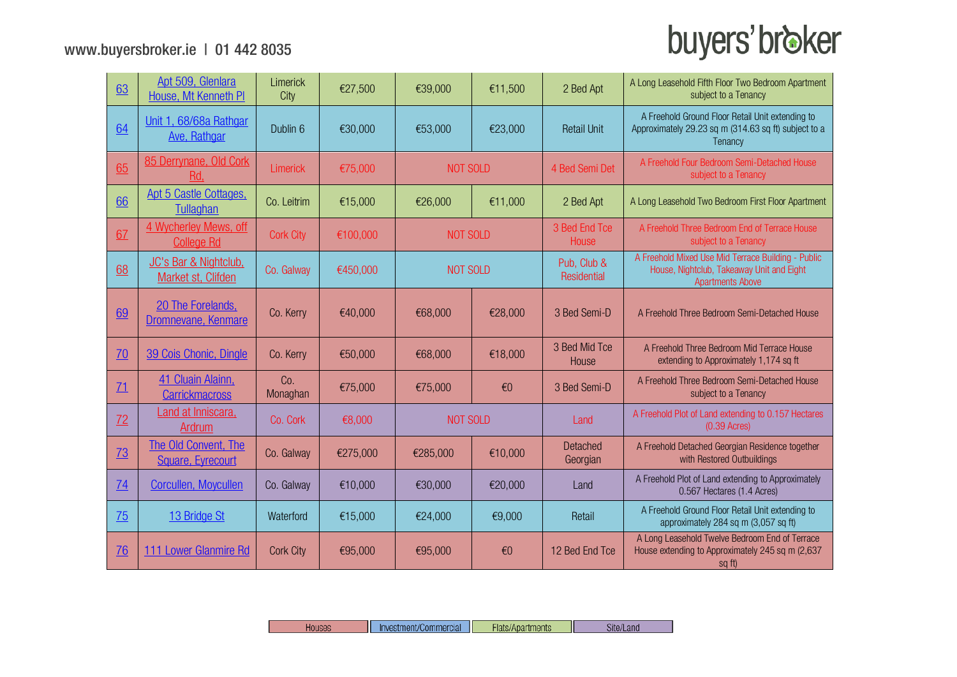| 63        | Apt 509, Glenlara<br>House, Mt Kenneth PI   | Limerick<br>City | €27,500  | €39,000         | €11,500      | 2 Bed Apt                  | A Long Leasehold Fifth Floor Two Bedroom Apartment<br>subject to a Tenancy                                                 |
|-----------|---------------------------------------------|------------------|----------|-----------------|--------------|----------------------------|----------------------------------------------------------------------------------------------------------------------------|
| 64        | Unit 1, 68/68a Rathgar<br>Ave, Rathgar      | Dublin 6         | €30,000  | €53,000         | €23,000      | <b>Retail Unit</b>         | A Freehold Ground Floor Retail Unit extending to<br>Approximately 29.23 sq m (314.63 sq ft) subject to a<br>Tenancy        |
| 65        | 85 Derrynane, Old Cork<br>Rd,               | Limerick         | €75,000  | <b>NOT SOLD</b> |              | 4 Bed Semi Det             | A Freehold Four Bedroom Semi-Detached House<br>subject to a Tenancy                                                        |
| 66        | Apt 5 Castle Cottages,<br>Tullaghan         | Co. Leitrim      | €15,000  | €26,000         | €11,000      | 2 Bed Apt                  | A Long Leasehold Two Bedroom First Floor Apartment                                                                         |
| 67        | 4 Wycherley Mews, off<br><b>College Rd</b>  | <b>Cork City</b> | €100,000 | <b>NOT SOLD</b> |              | 3 Bed End Tce<br>House     | A Freehold Three Bedroom End of Terrace House<br>subject to a Tenancy                                                      |
| 68        | JC's Bar & Nightclub.<br>Market st, Clifden | Co. Galway       | €450,000 | <b>NOT SOLD</b> |              | Pub, Club &<br>Residential | A Freehold Mixed Use Mid Terrace Building - Public<br>House, Nightclub, Takeaway Unit and Eight<br><b>Apartments Above</b> |
| 69        | 20 The Forelands.<br>Dromnevane, Kenmare    | Co. Kerry        | €40,000  | €68,000         | €28,000      | 3 Bed Semi-D               | A Freehold Three Bedroom Semi-Detached House                                                                               |
| 70        | 39 Cois Chonic, Dingle                      | Co. Kerry        | €50,000  | €68,000         | €18,000      | 3 Bed Mid Tce<br>House     | A Freehold Three Bedroom Mid Terrace House<br>extending to Approximately 1,174 sq ft                                       |
| 71        | 41 Cluain Alainn.<br><b>Carrickmacross</b>  | Co.<br>Monaghan  | €75,000  | €75,000         | $\epsilon$ 0 | 3 Bed Semi-D               | A Freehold Three Bedroom Semi-Detached House<br>subject to a Tenancy                                                       |
| 72        | Land at Inniscara,<br>Ardrum                | Co. Cork         | €8,000   | <b>NOT SOLD</b> |              | Land                       | A Freehold Plot of Land extending to 0.157 Hectares<br>$(0.39 \text{ A} \text{c} \text{res})$                              |
| <b>73</b> | The Old Convent, The<br>Square, Eyrecourt   | Co. Galway       | €275,000 | €285,000        | €10,000      | Detached<br>Georgian       | A Freehold Detached Georgian Residence together<br>with Restored Outbuildings                                              |
| 74        | Corcullen, Moycullen                        | Co. Galway       | €10,000  | €30,000         | €20,000      | Land                       | A Freehold Plot of Land extending to Approximately<br>0.567 Hectares (1.4 Acres)                                           |
| 75        | 13 Bridge St                                | Waterford        | €15,000  | €24,000         | €9,000       | Retail                     | A Freehold Ground Floor Retail Unit extending to<br>approximately 284 sq m (3,057 sq ft)                                   |
| <u>76</u> | 111 Lower Glanmire Rd                       | <b>Cork City</b> | €95,000  | €95,000         | €0           | 12 Bed End Tce             | A Long Leasehold Twelve Bedroom End of Terrace<br>House extending to Approximately 245 sq m (2,637)<br>sq ft)              |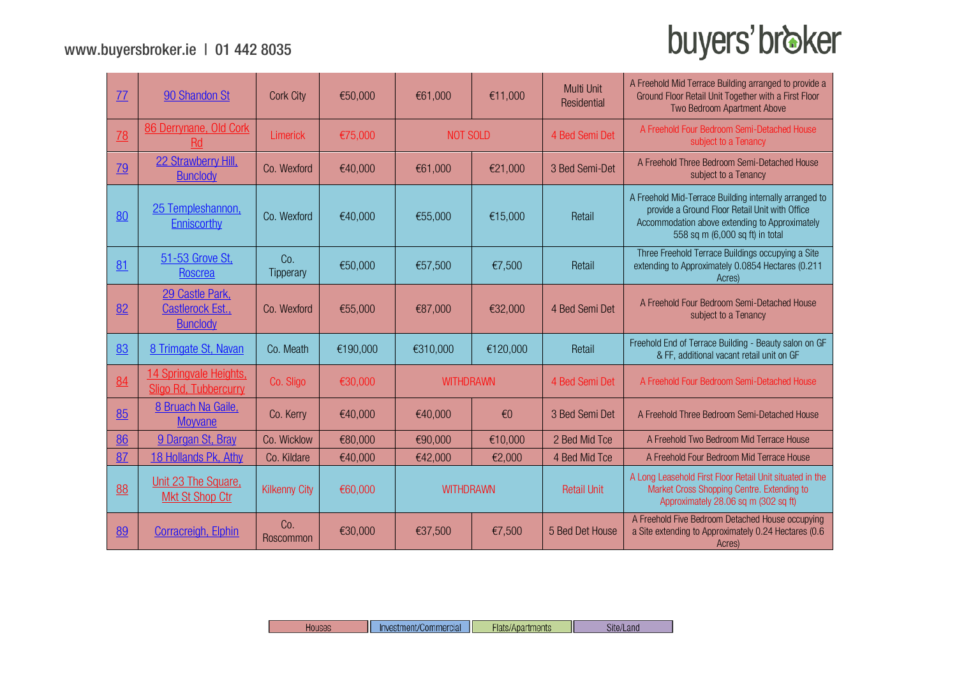| 77        | 90 Shandon St                                                 | <b>Cork City</b>        | €50,000  | €61,000          | €11,000                 | <b>Multi Unit</b><br>Residential | A Freehold Mid Terrace Building arranged to provide a<br>Ground Floor Retail Unit Together with a First Floor<br>Two Bedroom Apartment Above                                                  |
|-----------|---------------------------------------------------------------|-------------------------|----------|------------------|-------------------------|----------------------------------|-----------------------------------------------------------------------------------------------------------------------------------------------------------------------------------------------|
| 78        | 86 Derrynane, Old Cork<br><b>Rd</b>                           | <b>Limerick</b>         | €75,000  | <b>NOT SOLD</b>  |                         | 4 Bed Semi Det                   | A Freehold Four Bedroom Semi-Detached House<br>subject to a Tenancy                                                                                                                           |
| <u>79</u> | 22 Strawberry Hill,<br><b>Bunclody</b>                        | Co. Wexford             | €40,000  | €61,000          | €21,000                 | 3 Bed Semi-Det                   | A Freehold Three Bedroom Semi-Detached House<br>subject to a Tenancy                                                                                                                          |
| 80        | 25 Templeshannon,<br>Enniscorthy                              | Co. Wexford             | €40,000  | €55,000          | €15,000                 | Retail                           | A Freehold Mid-Terrace Building internally arranged to<br>provide a Ground Floor Retail Unit with Office<br>Accommodation above extending to Approximately<br>558 sq m (6,000 sq ft) in total |
| 81        | 51-53 Grove St,<br>Roscrea                                    | Co.<br><b>Tipperary</b> | €50,000  | €57,500          | €7,500                  | Retail                           | Three Freehold Terrace Buildings occupying a Site<br>extending to Approximately 0.0854 Hectares (0.211<br>Acres)                                                                              |
| 82        | 29 Castle Park.<br><b>Castlerock Est.,</b><br><b>Bunclody</b> | Co. Wexford             | €55,000  | €87,000          | €32,000                 | 4 Bed Semi Det                   | A Freehold Four Bedroom Semi-Detached House<br>subject to a Tenancy                                                                                                                           |
| 83        | 8 Trimgate St, Navan                                          | Co. Meath               | €190,000 | €310,000         | €120,000                | Retail                           | Freehold End of Terrace Building - Beauty salon on GF<br>& FF, additional vacant retail unit on GF                                                                                            |
| 84        | 14 Springvale Heights,<br>Sligo Rd, Tubbercurry               | Co. Sligo               | €30,000  | <b>WITHDRAWN</b> |                         | 4 Bed Semi Det                   | A Freehold Four Bedroom Semi-Detached House                                                                                                                                                   |
| 85        | 8 Bruach Na Gaile.<br><b>Moyvane</b>                          | Co. Kerry               | €40,000  | €40,000          | $\epsilon$ <sup>0</sup> | 3 Bed Semi Det                   | A Freehold Three Bedroom Semi-Detached House                                                                                                                                                  |
| 86        | 9 Dargan St. Bray                                             | Co. Wicklow             | €80,000  | €90,000          | €10,000                 | 2 Bed Mid Tce                    | A Freehold Two Bedroom Mid Terrace House                                                                                                                                                      |
| 87        | 18 Hollands Pk, Athy                                          | Co. Kildare             | €40,000  | €42,000          | €2,000                  | 4 Bed Mid Tce                    | A Freehold Four Bedroom Mid Terrace House                                                                                                                                                     |
| 88        | Unit 23 The Square,<br><b>Mkt St Shop Ctr</b>                 | <b>Kilkenny City</b>    | €60,000  | <b>WITHDRAWN</b> |                         | <b>Retail Unit</b>               | A Long Leasehold First Floor Retail Unit situated in the<br>Market Cross Shopping Centre. Extending to<br>Approximately 28.06 sq m (302 sq ft)                                                |
| 89        | <b>Corracreigh, Elphin</b>                                    | Co.<br>Roscommon        | €30,000  | €37,500          | €7,500                  | 5 Bed Det House                  | A Freehold Five Bedroom Detached House occupying<br>a Site extending to Approximately 0.24 Hectares (0.6<br>Acres)                                                                            |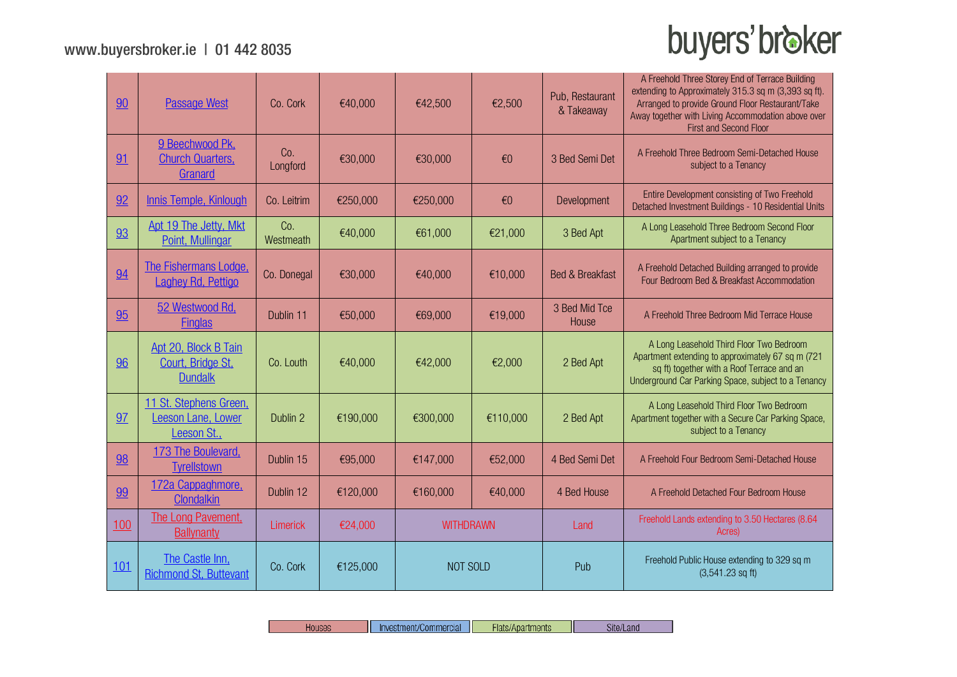| 90  | <b>Passage West</b>                                         | Co. Cork         | €40,000  | €42,500          | €2,500                  | Pub, Restaurant<br>& Takeaway | A Freehold Three Storey End of Terrace Building<br>extending to Approximately 315.3 sq m (3,393 sq ft).<br>Arranged to provide Ground Floor Restaurant/Take<br>Away together with Living Accommodation above over<br>First and Second Floor |
|-----|-------------------------------------------------------------|------------------|----------|------------------|-------------------------|-------------------------------|---------------------------------------------------------------------------------------------------------------------------------------------------------------------------------------------------------------------------------------------|
| 91  | 9 Beechwood Pk.<br><b>Church Quarters,</b><br>Granard       | Co.<br>Longford  | €30,000  | €30,000          | $\epsilon$ <sup>0</sup> | 3 Bed Semi Det                | A Freehold Three Bedroom Semi-Detached House<br>subject to a Tenancy                                                                                                                                                                        |
| 92  | Innis Temple, Kinlough                                      | Co. Leitrim      | €250,000 | €250,000         | $\epsilon$ <sup>0</sup> | Development                   | Entire Development consisting of Two Freehold<br>Detached Investment Buildings - 10 Residential Units                                                                                                                                       |
| 93  | Apt 19 The Jetty, Mkt<br>Point, Mullingar                   | Co.<br>Westmeath | €40,000  | €61,000          | €21,000                 | 3 Bed Apt                     | A Long Leasehold Three Bedroom Second Floor<br>Apartment subject to a Tenancy                                                                                                                                                               |
| 94  | The Fishermans Lodge,<br><b>Laghey Rd, Pettigo</b>          | Co. Donegal      | €30,000  | €40,000          | €10,000                 | <b>Bed &amp; Breakfast</b>    | A Freehold Detached Building arranged to provide<br>Four Bedroom Bed & Breakfast Accommodation                                                                                                                                              |
| 95  | 52 Westwood Rd.<br><b>Finglas</b>                           | Dublin 11        | €50,000  | €69,000          | €19,000                 | 3 Bed Mid Tce<br>House        | A Freehold Three Bedroom Mid Terrace House                                                                                                                                                                                                  |
| 96  | Apt 20, Block B Tain<br>Court, Bridge St,<br><b>Dundalk</b> | Co. Louth        | €40,000  | €42,000          | €2,000                  | 2 Bed Apt                     | A Long Leasehold Third Floor Two Bedroom<br>Apartment extending to approximately 67 sq m (721<br>sq ft) together with a Roof Terrace and an<br>Underground Car Parking Space, subject to a Tenancy                                          |
| 97  | 11 St. Stephens Green,<br>Leeson Lane, Lower<br>Leeson St., | Dublin 2         | €190,000 | €300,000         | €110,000                | 2 Bed Apt                     | A Long Leasehold Third Floor Two Bedroom<br>Apartment together with a Secure Car Parking Space,<br>subject to a Tenancy                                                                                                                     |
| 98  | 173 The Boulevard,<br><b>Tyrellstown</b>                    | Dublin 15        | €95,000  | €147,000         | €52,000                 | 4 Bed Semi Det                | A Freehold Four Bedroom Semi-Detached House                                                                                                                                                                                                 |
| 99  | 172a Cappaghmore.<br>Clondalkin                             | Dublin 12        | €120,000 | €160,000         | €40,000                 | 4 Bed House                   | A Freehold Detached Four Bedroom House                                                                                                                                                                                                      |
| 100 | The Long Pavement.<br><b>Ballynanty</b>                     | Limerick         | €24,000  | <b>WITHDRAWN</b> |                         | Land                          | Freehold Lands extending to 3.50 Hectares (8.64<br>Acres)                                                                                                                                                                                   |
| 101 | The Castle Inn.<br><b>Richmond St. Buttevant</b>            | Co. Cork         | €125,000 |                  | NOT SOLD                |                               | Freehold Public House extending to 329 sq m<br>$(3,541.23$ sq ft)                                                                                                                                                                           |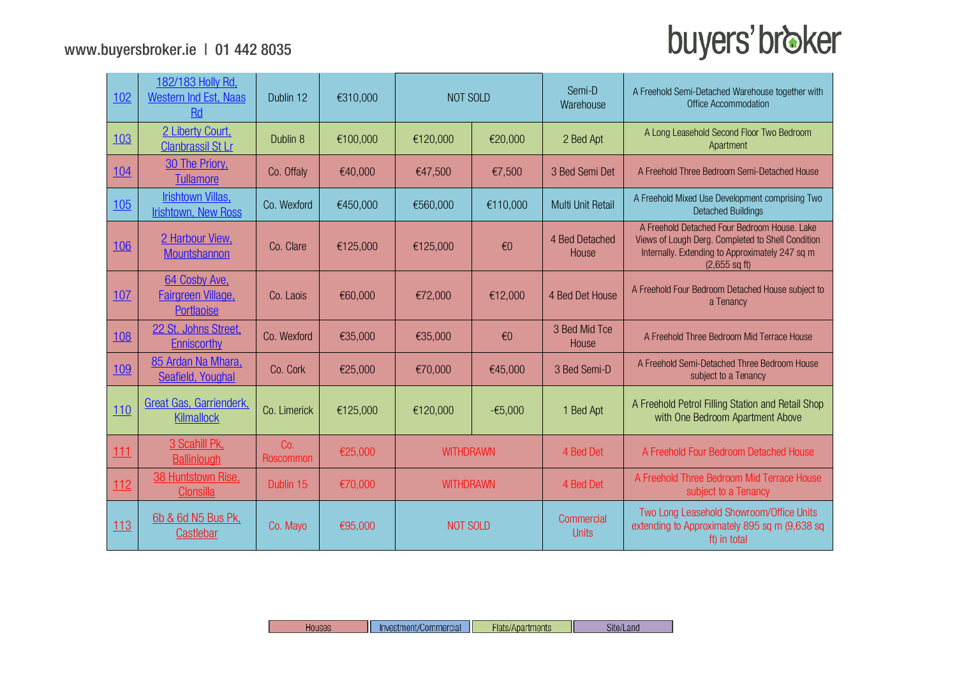| 102        | 182/183 Holly Rd,<br>Western Ind Est, Naas<br><b>Rd</b>  | Dublin 12        | €310,000 | NOT SOLD         |                         | Semi-D<br>Warehouse        | A Freehold Semi-Detached Warehouse together with<br>Office Accommodation                                                                                                |
|------------|----------------------------------------------------------|------------------|----------|------------------|-------------------------|----------------------------|-------------------------------------------------------------------------------------------------------------------------------------------------------------------------|
| 103        | 2 Liberty Court,<br><b>Clanbrassil St Lr</b>             | Dublin 8         | €100,000 | €120,000         | €20,000                 |                            | A Long Leasehold Second Floor Two Bedroom<br>Apartment                                                                                                                  |
| 104        | 30 The Priory,<br><b>Tullamore</b>                       | Co. Offaly       | €40,000  | €47,500          | €7,500                  | 3 Bed Semi Det             | A Freehold Three Bedroom Semi-Detached House                                                                                                                            |
| 105        | Irishtown Villas,<br><b>Irishtown, New Ross</b>          | Co. Wexford      | €450,000 | €560,000         | €110,000                | <b>Multi Unit Retail</b>   | A Freehold Mixed Use Development comprising Two<br><b>Detached Buildings</b>                                                                                            |
| <b>106</b> | 2 Harbour View,<br>Mountshannon                          | Co. Clare        | €125,000 | €125,000         | €0                      | 4 Bed Detached<br>House    | A Freehold Detached Four Bedroom House. Lake<br>Views of Lough Derg. Completed to Shell Condition<br>Internally. Extending to Approximately 247 sq m<br>$(2,655$ sq ft) |
| 107        | 64 Cosby Ave.<br>Fairgreen Village,<br><b>Portlaoise</b> | Co. Laois        | €60,000  | €72,000          | €12,000                 | 4 Bed Det House            | A Freehold Four Bedroom Detached House subject to<br>a Tenancy                                                                                                          |
| 108        | 22 St. Johns Street,<br><b>Enniscorthy</b>               | Co. Wexford      | €35,000  | €35,000          | $\epsilon$ <sup>0</sup> | 3 Bed Mid Tce<br>House     | A Freehold Three Bedroom Mid Terrace House                                                                                                                              |
| 109        | 85 Ardan Na Mhara,<br>Seafield, Youghal                  | Co. Cork         | €25,000  | €70,000          | €45,000                 | 3 Bed Semi-D               | A Freehold Semi-Detached Three Bedroom House<br>subject to a Tenancy                                                                                                    |
| 110        | Great Gas, Garrienderk,<br><b>Kilmallock</b>             | Co. Limerick     | €125,000 | €120,000         | $-65,000$               | 1 Bed Apt                  | A Freehold Petrol Filling Station and Retail Shop<br>with One Bedroom Apartment Above                                                                                   |
| 111        | 3 Scahill Pk,<br><b>Ballinlough</b>                      | Co.<br>Roscommon | €25,000  | <b>WITHDRAWN</b> |                         | 4 Bed Det                  | A Freehold Four Bedroom Detached House                                                                                                                                  |
| 112        | 38 Huntstown Rise.<br><b>Clonsilla</b>                   | Dublin 15        | €70,000  | <b>WITHDRAWN</b> |                         | 4 Bed Det                  | A Freehold Three Bedroom Mid Terrace House<br>subject to a Tenancy                                                                                                      |
| 113        | 6b & 6d N5 Bus Pk,<br>Castlebar                          | Co. Mayo         | €95,000  | <b>NOT SOLD</b>  |                         | Commercial<br><b>Units</b> | Two Long Leasehold Showroom/Office Units<br>extending to Approximately 895 sq m (9,638 sq<br>ft) in total                                                               |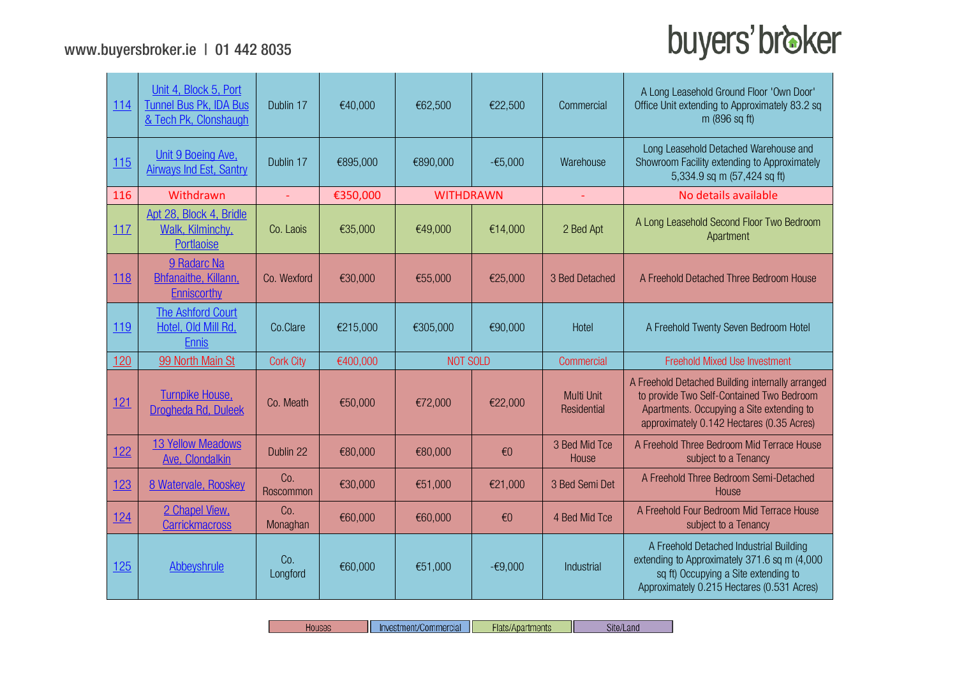$\sim$ 

| 114        | Unit 4, Block 5, Port<br><b>Tunnel Bus Pk, IDA Bus</b><br>& Tech Pk, Clonshaugh | Dublin 17        | €40,000  | €62,500          | €22,500                 | Commercial                       | A Long Leasehold Ground Floor 'Own Door'<br>Office Unit extending to Approximately 83.2 sq<br>m (896 sq ft)                                                                             |
|------------|---------------------------------------------------------------------------------|------------------|----------|------------------|-------------------------|----------------------------------|-----------------------------------------------------------------------------------------------------------------------------------------------------------------------------------------|
| 115        | Unit 9 Boeing Ave,<br><b>Airways Ind Est, Santry</b>                            | Dublin 17        | €895,000 | €890,000         | $-65,000$               | Warehouse                        | Long Leasehold Detached Warehouse and<br>Showroom Facility extending to Approximately<br>5,334.9 sq m (57,424 sq ft)                                                                    |
| 116        | Withdrawn                                                                       | ÷.               | €350,000 | <b>WITHDRAWN</b> |                         | ÷.                               | No details available                                                                                                                                                                    |
| 117        | Apt 28, Block 4, Bridle<br>Walk, Kilminchy,<br>Portlaoise                       | Co. Laois        | €35,000  | €49,000          | €14,000                 | 2 Bed Apt                        | A Long Leasehold Second Floor Two Bedroom<br>Apartment                                                                                                                                  |
| <u>118</u> | 9 Radarc Na<br><b>Bhfanaithe, Killann,</b><br>Enniscorthy                       | Co. Wexford      | €30,000  | €55,000          | €25,000                 | 3 Bed Detached                   | A Freehold Detached Three Bedroom House                                                                                                                                                 |
| 119        | <b>The Ashford Court</b><br>Hotel, Old Mill Rd,<br><b>Ennis</b>                 | Co.Clare         | €215,000 | €305,000         | €90,000                 | Hotel                            | A Freehold Twenty Seven Bedroom Hotel                                                                                                                                                   |
| <u>120</u> | 99 North Main St                                                                | <b>Cork City</b> | €400,000 | <b>NOT SOLD</b>  |                         | Commercial                       | <b>Freehold Mixed Use Investment</b>                                                                                                                                                    |
| 121        | <b>Turnpike House,</b><br>Drogheda Rd, Duleek                                   | Co. Meath        | €50,000  | €72,000          | €22,000                 | <b>Multi Unit</b><br>Residential | A Freehold Detached Building internally arranged<br>to provide Two Self-Contained Two Bedroom<br>Apartments. Occupying a Site extending to<br>approximately 0.142 Hectares (0.35 Acres) |
| <u>122</u> | <b>13 Yellow Meadows</b><br>Ave, Clondalkin                                     | Dublin 22        | €80,000  | €80,000          | $\epsilon$ <sup>0</sup> | 3 Bed Mid Tce<br>House           | A Freehold Three Bedroom Mid Terrace House<br>subject to a Tenancy                                                                                                                      |
| 123        | 8 Watervale, Rooskey                                                            | Co.<br>Roscommon | €30,000  | €51,000          | €21,000                 | 3 Bed Semi Det                   | A Freehold Three Bedroom Semi-Detached<br>House                                                                                                                                         |
| 124        | 2 Chapel View,<br><b>Carrickmacross</b>                                         | Co.<br>Monaghan  | €60,000  | €60,000          | $\epsilon$ <sup>0</sup> | 4 Bed Mid Tce                    | A Freehold Four Bedroom Mid Terrace House<br>subject to a Tenancy                                                                                                                       |
| 125        | Abbeyshrule                                                                     | Co.<br>Longford  | €60,000  | €51,000          | $-69,000$               | Industrial                       | A Freehold Detached Industrial Building<br>extending to Approximately 371.6 sq m (4,000<br>sq ft) Occupying a Site extending to<br>Approximately 0.215 Hectares (0.531 Acres)           |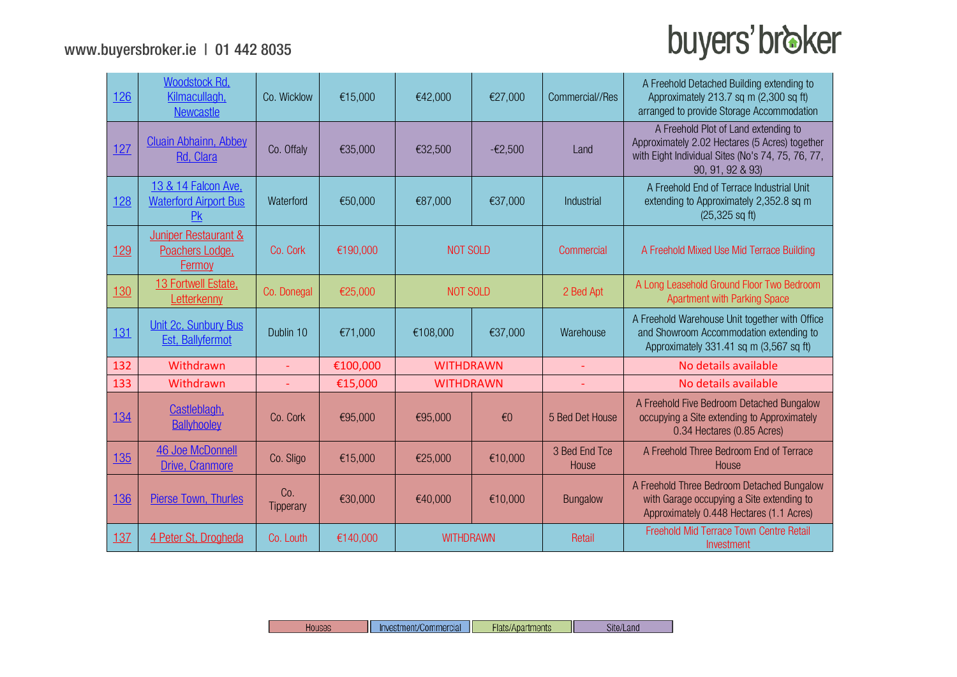| 126        | Woodstock Rd,<br>Kilmacullagh,<br><b>Newcastle</b>                    | Co. Wicklow              | €15,000  | €42,000          | €27,000   | Commercial//Res        | A Freehold Detached Building extending to<br>Approximately 213.7 sq m (2,300 sq ft)<br>arranged to provide Storage Accommodation                                |
|------------|-----------------------------------------------------------------------|--------------------------|----------|------------------|-----------|------------------------|-----------------------------------------------------------------------------------------------------------------------------------------------------------------|
| 127        | <b>Cluain Abhainn, Abbey</b><br>Rd, Clara                             | Co. Offaly               | €35,000  | €32,500          | $-62,500$ | Land                   | A Freehold Plot of Land extending to<br>Approximately 2.02 Hectares (5 Acres) together<br>with Eight Individual Sites (No's 74, 75, 76, 77,<br>90, 91, 92 & 93) |
| 128        | 13 & 14 Falcon Ave,<br><b>Waterford Airport Bus</b><br>P <sub>K</sub> | Waterford                | €50,000  | €87,000          | €37,000   | Industrial             | A Freehold End of Terrace Industrial Unit<br>extending to Approximately 2,352.8 sq m<br>$(25, 325 \text{ sq ft})$                                               |
| 129        | Juniper Restaurant &<br>Poachers Lodge,<br>Fermoy                     | Co. Cork                 | €190,000 | <b>NOT SOLD</b>  |           | Commercial             | A Freehold Mixed Use Mid Terrace Building                                                                                                                       |
| 130        | 13 Fortwell Estate.<br>Letterkenny                                    | Co. Donegal              | €25,000  | <b>NOT SOLD</b>  |           | 2 Bed Apt              | A Long Leasehold Ground Floor Two Bedroom<br><b>Apartment with Parking Space</b>                                                                                |
| 131        | Unit 2c, Sunbury Bus<br><b>Est, Ballyfermot</b>                       | Dublin 10                | €71,000  | €108,000         | €37,000   | Warehouse              | A Freehold Warehouse Unit together with Office<br>and Showroom Accommodation extending to<br>Approximately 331.41 sq m (3,567 sq ft)                            |
| 132        | Withdrawn                                                             | $\overline{\phantom{a}}$ | €100,000 | <b>WITHDRAWN</b> |           |                        | No details available                                                                                                                                            |
| 133        | Withdrawn                                                             | $\overline{\phantom{0}}$ | €15,000  | <b>WITHDRAWN</b> |           |                        | No details available                                                                                                                                            |
| 134        | Castleblagh,<br><b>Ballyhooley</b>                                    | Co. Cork                 | €95,000  | €95,000          | €0        | 5 Bed Det House        | A Freehold Five Bedroom Detached Bungalow<br>occupying a Site extending to Approximately<br>0.34 Hectares (0.85 Acres)                                          |
| <u>135</u> | <b>46 Joe McDonnell</b><br>Drive, Cranmore                            | Co. Sligo                | €15,000  | €25,000          | €10,000   | 3 Bed End Tce<br>House | A Freehold Three Bedroom End of Terrace<br>House                                                                                                                |
| 136        | <b>Pierse Town, Thurles</b>                                           | Co.<br>Tipperary         | €30,000  | €40,000          | €10,000   | <b>Bungalow</b>        | A Freehold Three Bedroom Detached Bungalow<br>with Garage occupying a Site extending to<br>Approximately 0.448 Hectares (1.1 Acres)                             |
| 137        | 4 Peter St, Drogheda                                                  | Co. Louth                | €140,000 | <b>WITHDRAWN</b> |           | Retail                 | Freehold Mid Terrace Town Centre Retail<br>Investment                                                                                                           |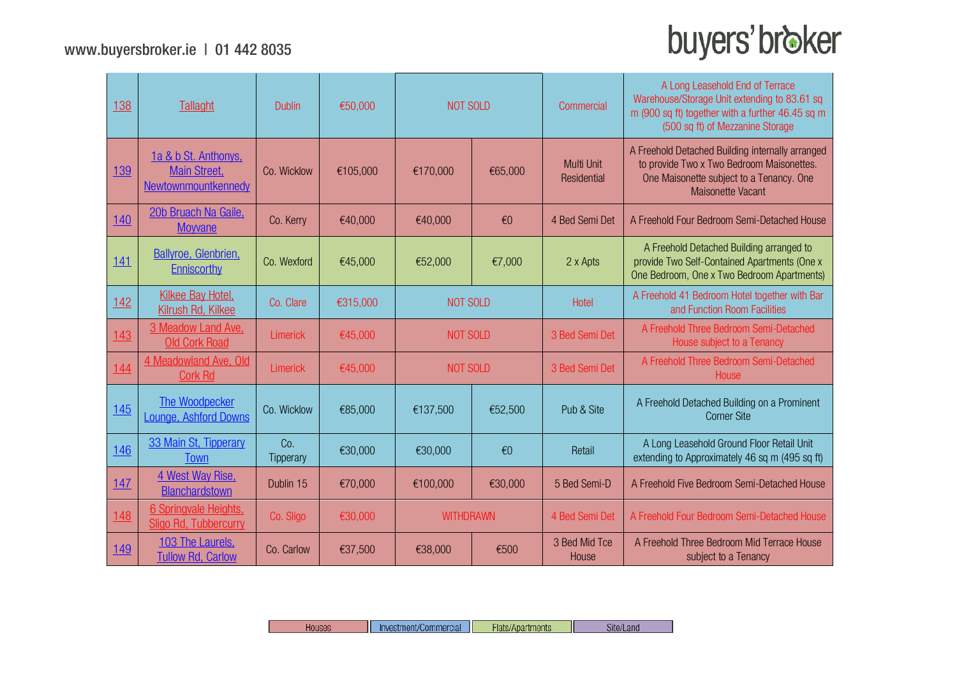| 138        | <b>Tallaght</b>                                                    | <b>Dublin</b>    | €50,000  | <b>NOT SOLD</b> |                         | Commercial                | A Long Leasehold End of Terrace<br>Warehouse/Storage Unit extending to 83.61 sq<br>m (900 sq ft) together with a further 46.45 sq m<br>(500 sq ft) of Mezzanine Storage |
|------------|--------------------------------------------------------------------|------------------|----------|-----------------|-------------------------|---------------------------|-------------------------------------------------------------------------------------------------------------------------------------------------------------------------|
| 139        | 1a & b St. Anthonys,<br><b>Main Street.</b><br>Newtownmountkennedy | Co. Wicklow      | €105,000 | €170,000        | €65,000                 | Multi Unit<br>Residential | A Freehold Detached Building internally arranged<br>to provide Two x Two Bedroom Maisonettes.<br>One Maisonette subject to a Tenancy. One<br>Maisonette Vacant          |
| <u>140</u> | 20b Bruach Na Gaile,<br><b>Moyvane</b>                             | Co. Kerry        | €40,000  | €40,000         | $\epsilon$ <sup>0</sup> | 4 Bed Semi Det            | A Freehold Four Bedroom Semi-Detached House                                                                                                                             |
| 141        | <b>Ballyroe, Glenbrien,</b><br>Enniscorthy                         | Co. Wexford      | €45,000  | €52,000         | €7,000                  | 2 x Apts                  | A Freehold Detached Building arranged to<br>provide Two Self-Contained Apartments (One x<br>One Bedroom, One x Two Bedroom Apartments)                                  |
| 142        | <b>Kilkee Bay Hotel,</b><br>Kilrush Rd, Kilkee                     | Co. Clare        | €315,000 | <b>NOT SOLD</b> |                         | Hotel                     | A Freehold 41 Bedroom Hotel together with Bar<br>and Function Room Facilities                                                                                           |
| 143        | 3 Meadow Land Ave.<br><b>Old Cork Road</b>                         | Limerick         | €45,000  |                 | <b>NOT SOLD</b>         |                           | A Freehold Three Bedroom Semi-Detached<br>House subject to a Tenancy                                                                                                    |
| 144        | 4 Meadowland Ave, Old<br><b>Cork Rd</b>                            | Limerick         | €45,000  | <b>NOT SOLD</b> |                         | 3 Bed Semi Det            | A Freehold Three Bedroom Semi-Detached<br>House                                                                                                                         |
| 145        | The Woodpecker<br><b>Lounge, Ashford Downs</b>                     | Co. Wicklow      | €85,000  | €137,500        | €52,500                 | Pub & Site                | A Freehold Detached Building on a Prominent<br><b>Corner Site</b>                                                                                                       |
| 146        | 33 Main St, Tipperary<br>Town                                      | Co.<br>Tipperary | €30,000  | €30,000         | $\epsilon$ <sup>0</sup> | Retail                    | A Long Leasehold Ground Floor Retail Unit<br>extending to Approximately 46 sq m (495 sq ft)                                                                             |
| <u>147</u> | 4 West Way Rise,<br>Blanchardstown                                 | Dublin 15        | €70,000  | €100,000        | €30,000                 | 5 Bed Semi-D              | A Freehold Five Bedroom Semi-Detached House                                                                                                                             |
| 148        | 6 Springvale Heights,<br>Sligo Rd, Tubbercurry                     | Co. Sligo        | €30,000  |                 | <b>WITHDRAWN</b>        |                           | A Freehold Four Bedroom Semi-Detached House                                                                                                                             |
| 149        | 103 The Laurels.<br><b>Tullow Rd, Carlow</b>                       | Co. Carlow       | €37,500  | €38,000         | €500                    | 3 Bed Mid Tce<br>House    | A Freehold Three Bedroom Mid Terrace House<br>subject to a Tenancy                                                                                                      |